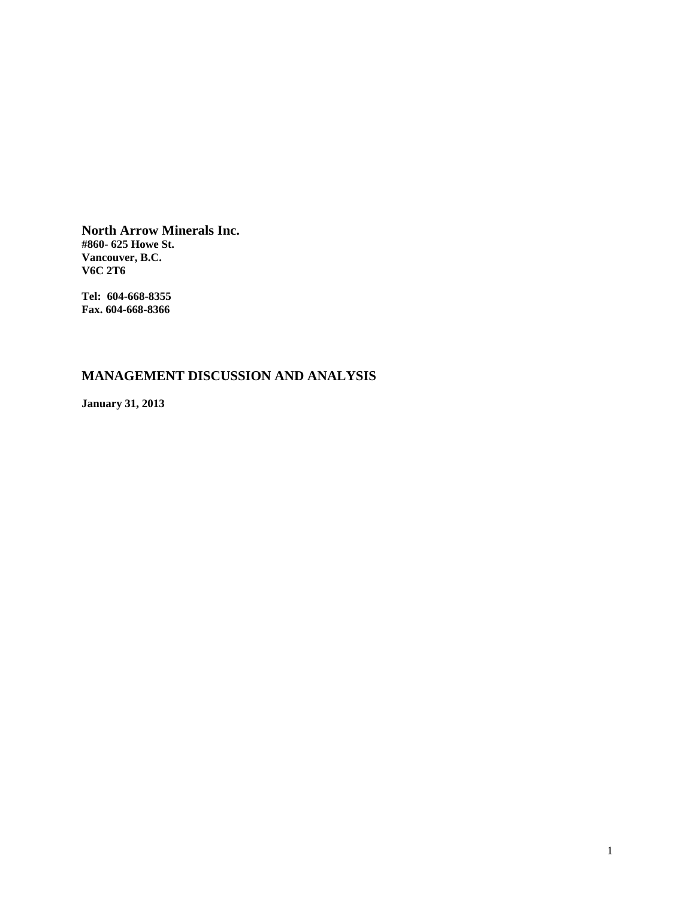**North Arrow Minerals Inc. #860- 625 Howe St. Vancouver, B.C. V6C 2T6** 

**Tel: 604-668-8355 Fax. 604-668-8366** 

# **MANAGEMENT DISCUSSION AND ANALYSIS**

**January 31, 2013**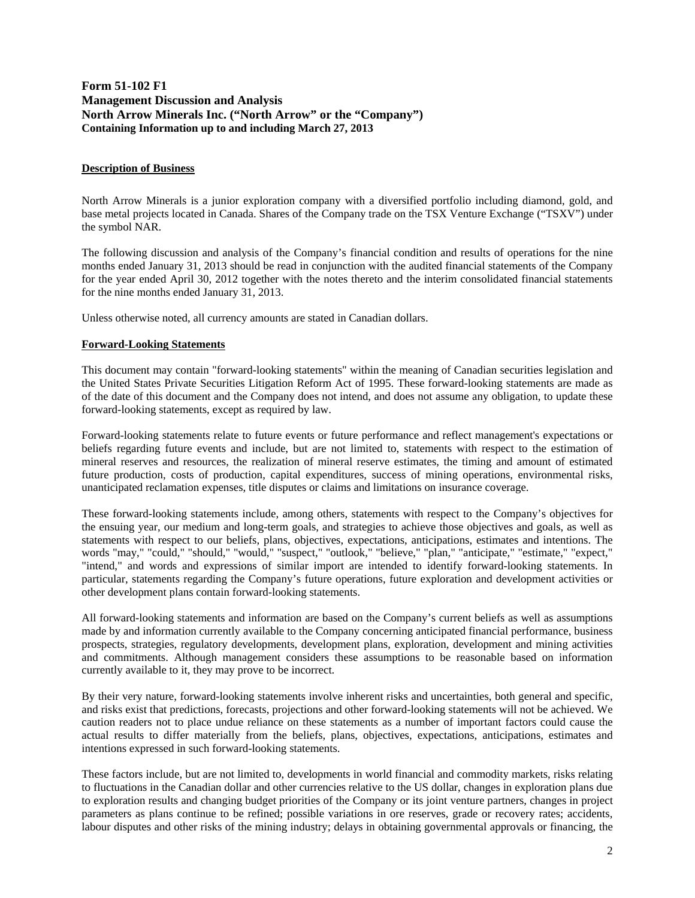# **Form 51-102 F1 Management Discussion and Analysis North Arrow Minerals Inc. ("North Arrow" or the "Company") Containing Information up to and including March 27, 2013**

# **Description of Business**

North Arrow Minerals is a junior exploration company with a diversified portfolio including diamond, gold, and base metal projects located in Canada. Shares of the Company trade on the TSX Venture Exchange ("TSXV") under the symbol NAR.

The following discussion and analysis of the Company's financial condition and results of operations for the nine months ended January 31, 2013 should be read in conjunction with the audited financial statements of the Company for the year ended April 30, 2012 together with the notes thereto and the interim consolidated financial statements for the nine months ended January 31, 2013.

Unless otherwise noted, all currency amounts are stated in Canadian dollars.

# **Forward-Looking Statements**

This document may contain "forward-looking statements" within the meaning of Canadian securities legislation and the United States Private Securities Litigation Reform Act of 1995. These forward-looking statements are made as of the date of this document and the Company does not intend, and does not assume any obligation, to update these forward-looking statements, except as required by law.

Forward-looking statements relate to future events or future performance and reflect management's expectations or beliefs regarding future events and include, but are not limited to, statements with respect to the estimation of mineral reserves and resources, the realization of mineral reserve estimates, the timing and amount of estimated future production, costs of production, capital expenditures, success of mining operations, environmental risks, unanticipated reclamation expenses, title disputes or claims and limitations on insurance coverage.

These forward-looking statements include, among others, statements with respect to the Company's objectives for the ensuing year, our medium and long-term goals, and strategies to achieve those objectives and goals, as well as statements with respect to our beliefs, plans, objectives, expectations, anticipations, estimates and intentions. The words "may," "could," "should," "would," "suspect," "outlook," "believe," "plan," "anticipate," "estimate," "expect," "intend," and words and expressions of similar import are intended to identify forward-looking statements. In particular, statements regarding the Company's future operations, future exploration and development activities or other development plans contain forward-looking statements.

All forward-looking statements and information are based on the Company's current beliefs as well as assumptions made by and information currently available to the Company concerning anticipated financial performance, business prospects, strategies, regulatory developments, development plans, exploration, development and mining activities and commitments. Although management considers these assumptions to be reasonable based on information currently available to it, they may prove to be incorrect.

By their very nature, forward-looking statements involve inherent risks and uncertainties, both general and specific, and risks exist that predictions, forecasts, projections and other forward-looking statements will not be achieved. We caution readers not to place undue reliance on these statements as a number of important factors could cause the actual results to differ materially from the beliefs, plans, objectives, expectations, anticipations, estimates and intentions expressed in such forward-looking statements.

These factors include, but are not limited to, developments in world financial and commodity markets, risks relating to fluctuations in the Canadian dollar and other currencies relative to the US dollar, changes in exploration plans due to exploration results and changing budget priorities of the Company or its joint venture partners, changes in project parameters as plans continue to be refined; possible variations in ore reserves, grade or recovery rates; accidents, labour disputes and other risks of the mining industry; delays in obtaining governmental approvals or financing, the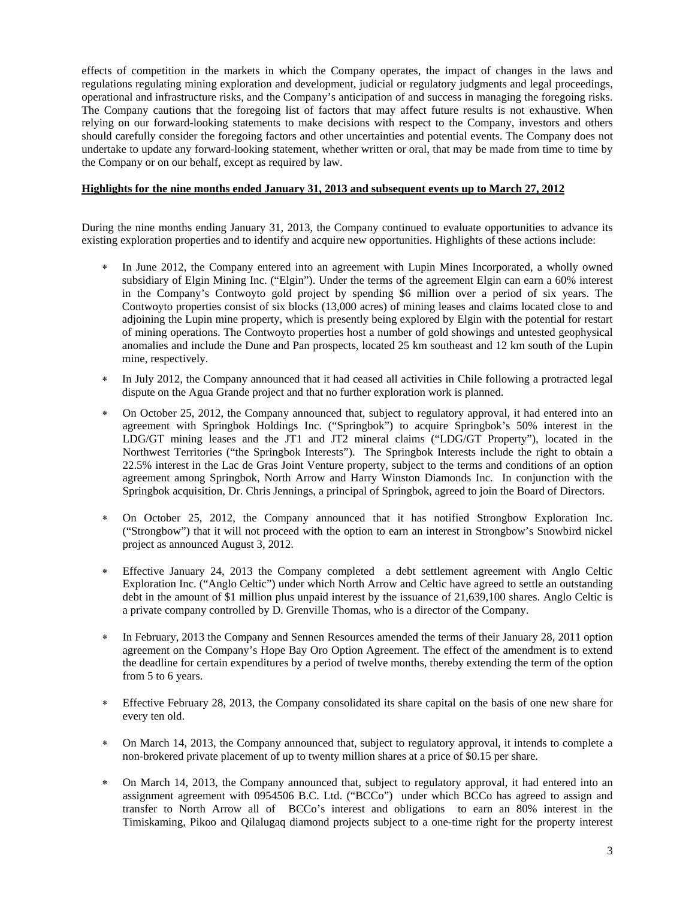effects of competition in the markets in which the Company operates, the impact of changes in the laws and regulations regulating mining exploration and development, judicial or regulatory judgments and legal proceedings, operational and infrastructure risks, and the Company's anticipation of and success in managing the foregoing risks. The Company cautions that the foregoing list of factors that may affect future results is not exhaustive. When relying on our forward-looking statements to make decisions with respect to the Company, investors and others should carefully consider the foregoing factors and other uncertainties and potential events. The Company does not undertake to update any forward-looking statement, whether written or oral, that may be made from time to time by the Company or on our behalf, except as required by law.

## **Highlights for the nine months ended January 31, 2013 and subsequent events up to March 27, 2012**

During the nine months ending January 31, 2013, the Company continued to evaluate opportunities to advance its existing exploration properties and to identify and acquire new opportunities. Highlights of these actions include:

- In June 2012, the Company entered into an agreement with Lupin Mines Incorporated, a wholly owned subsidiary of Elgin Mining Inc. ("Elgin"). Under the terms of the agreement Elgin can earn a 60% interest in the Company's Contwoyto gold project by spending \$6 million over a period of six years. The Contwoyto properties consist of six blocks (13,000 acres) of mining leases and claims located close to and adjoining the Lupin mine property, which is presently being explored by Elgin with the potential for restart of mining operations. The Contwoyto properties host a number of gold showings and untested geophysical anomalies and include the Dune and Pan prospects, located 25 km southeast and 12 km south of the Lupin mine, respectively.
- In July 2012, the Company announced that it had ceased all activities in Chile following a protracted legal dispute on the Agua Grande project and that no further exploration work is planned.
- On October 25, 2012, the Company announced that, subject to regulatory approval, it had entered into an agreement with Springbok Holdings Inc. ("Springbok") to acquire Springbok's 50% interest in the LDG/GT mining leases and the JT1 and JT2 mineral claims ("LDG/GT Property"), located in the Northwest Territories ("the Springbok Interests"). The Springbok Interests include the right to obtain a 22.5% interest in the Lac de Gras Joint Venture property, subject to the terms and conditions of an option agreement among Springbok, North Arrow and Harry Winston Diamonds Inc. In conjunction with the Springbok acquisition, Dr. Chris Jennings, a principal of Springbok, agreed to join the Board of Directors.
- On October 25, 2012, the Company announced that it has notified Strongbow Exploration Inc. ("Strongbow") that it will not proceed with the option to earn an interest in Strongbow's Snowbird nickel project as announced August 3, 2012.
- Effective January 24, 2013 the Company completed a debt settlement agreement with Anglo Celtic Exploration Inc. ("Anglo Celtic") under which North Arrow and Celtic have agreed to settle an outstanding debt in the amount of \$1 million plus unpaid interest by the issuance of 21,639,100 shares. Anglo Celtic is a private company controlled by D. Grenville Thomas, who is a director of the Company.
- In February, 2013 the Company and Sennen Resources amended the terms of their January 28, 2011 option agreement on the Company's Hope Bay Oro Option Agreement. The effect of the amendment is to extend the deadline for certain expenditures by a period of twelve months, thereby extending the term of the option from 5 to 6 years.
- Effective February 28, 2013, the Company consolidated its share capital on the basis of one new share for every ten old.
- On March 14, 2013, the Company announced that, subject to regulatory approval, it intends to complete a non-brokered private placement of up to twenty million shares at a price of \$0.15 per share.
- On March 14, 2013, the Company announced that, subject to regulatory approval, it had entered into an assignment agreement with 0954506 B.C. Ltd. ("BCCo") under which BCCo has agreed to assign and transfer to North Arrow all of BCCo's interest and obligations to earn an 80% interest in the Timiskaming, Pikoo and Qilalugaq diamond projects subject to a one-time right for the property interest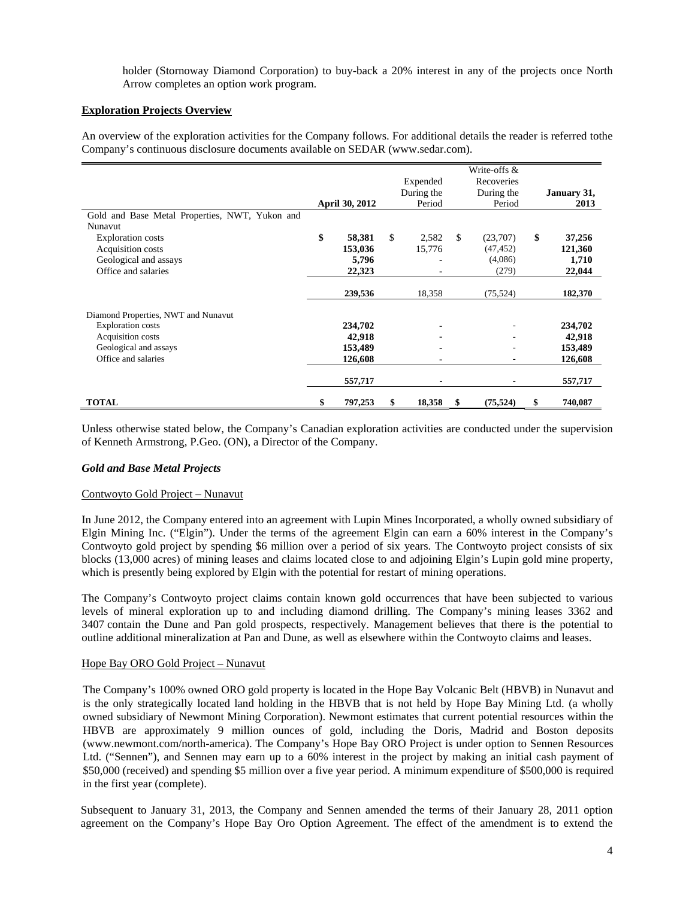holder (Stornoway Diamond Corporation) to buy-back a 20% interest in any of the projects once North Arrow completes an option work program.

## **Exploration Projects Overview**

An overview of the exploration activities for the Company follows. For additional details the reader is referred tothe Company's continuous disclosure documents available on SEDAR (www.sedar.com).

|                                                |                       |                          |              | Write-offs &                 |               |
|------------------------------------------------|-----------------------|--------------------------|--------------|------------------------------|---------------|
|                                                |                       | Expended                 |              | Recoveries                   |               |
|                                                |                       | During the               |              | During the                   | January 31,   |
|                                                | <b>April 30, 2012</b> | Period                   |              | Period                       | 2013          |
| Gold and Base Metal Properties, NWT, Yukon and |                       |                          |              |                              |               |
| Nunavut                                        |                       |                          |              |                              |               |
| <b>Exploration</b> costs                       | \$<br>58,381          | \$<br>2,582              | $\mathbb{S}$ | (23,707)                     | \$<br>37,256  |
| Acquisition costs                              | 153,036               | 15,776                   |              | (47, 452)                    | 121,360       |
| Geological and assays                          | 5,796                 |                          |              | (4,086)                      | 1,710         |
| Office and salaries                            | 22,323                | ٠                        |              | (279)                        | 22,044        |
|                                                | 239,536               | 18,358                   |              | (75, 524)                    | 182,370       |
| Diamond Properties, NWT and Nunavut            |                       |                          |              |                              |               |
| <b>Exploration costs</b>                       | 234,702               | $\overline{\phantom{a}}$ |              |                              | 234,702       |
| Acquisition costs                              | 42,918                | $\overline{\phantom{a}}$ |              |                              | 42,918        |
| Geological and assays                          | 153,489               | $\overline{\phantom{a}}$ |              |                              | 153,489       |
| Office and salaries                            | 126,608               | ٠                        |              | $\qquad \qquad \blacksquare$ | 126,608       |
|                                                | 557,717               |                          |              |                              | 557,717       |
| <b>TOTAL</b>                                   | \$<br>797,253         | \$<br>18,358             | \$           | (75, 524)                    | \$<br>740,087 |

Unless otherwise stated below, the Company's Canadian exploration activities are conducted under the supervision of Kenneth Armstrong, P.Geo. (ON), a Director of the Company.

## *Gold and Base Metal Projects*

#### Contwoyto Gold Project – Nunavut

In June 2012, the Company entered into an agreement with Lupin Mines Incorporated, a wholly owned subsidiary of Elgin Mining Inc. ("Elgin"). Under the terms of the agreement Elgin can earn a 60% interest in the Company's Contwoyto gold project by spending \$6 million over a period of six years. The Contwoyto project consists of six blocks (13,000 acres) of mining leases and claims located close to and adjoining Elgin's Lupin gold mine property, which is presently being explored by Elgin with the potential for restart of mining operations.

The Company's Contwoyto project claims contain known gold occurrences that have been subjected to various levels of mineral exploration up to and including diamond drilling. The Company's mining leases 3362 and 3407 contain the Dune and Pan gold prospects, respectively. Management believes that there is the potential to outline additional mineralization at Pan and Dune, as well as elsewhere within the Contwoyto claims and leases.

#### Hope Bay ORO Gold Project – Nunavut

The Company's 100% owned ORO gold property is located in the Hope Bay Volcanic Belt (HBVB) in Nunavut and is the only strategically located land holding in the HBVB that is not held by Hope Bay Mining Ltd. (a wholly owned subsidiary of Newmont Mining Corporation). Newmont estimates that current potential resources within the HBVB are approximately 9 million ounces of gold, including the Doris, Madrid and Boston deposits (www.newmont.com/north-america). The Company's Hope Bay ORO Project is under option to Sennen Resources Ltd. ("Sennen"), and Sennen may earn up to a 60% interest in the project by making an initial cash payment of \$50,000 (received) and spending \$5 million over a five year period. A minimum expenditure of \$500,000 is required in the first year (complete).

Subsequent to January 31, 2013, the Company and Sennen amended the terms of their January 28, 2011 option agreement on the Company's Hope Bay Oro Option Agreement. The effect of the amendment is to extend the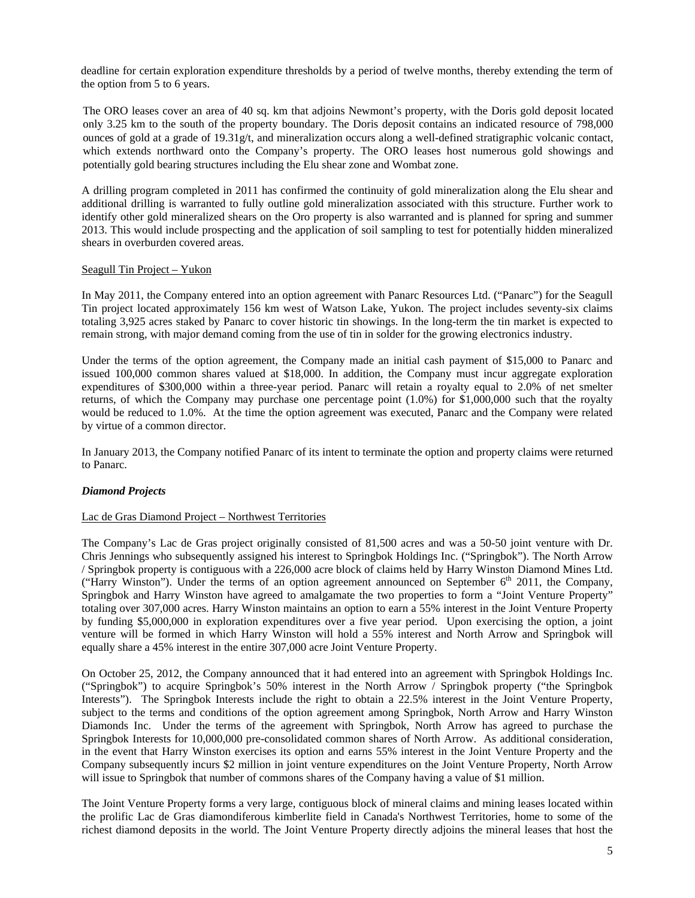deadline for certain exploration expenditure thresholds by a period of twelve months, thereby extending the term of the option from 5 to 6 years.

The ORO leases cover an area of 40 sq. km that adjoins Newmont's property, with the Doris gold deposit located only 3.25 km to the south of the property boundary. The Doris deposit contains an indicated resource of 798,000 ounces of gold at a grade of  $19.31g/t$ , and mineralization occurs along a well-defined stratigraphic volcanic contact, which extends northward onto the Company's property. The ORO leases host numerous gold showings and potentially gold bearing structures including the Elu shear zone and Wombat zone.

A drilling program completed in 2011 has confirmed the continuity of gold mineralization along the Elu shear and additional drilling is warranted to fully outline gold mineralization associated with this structure. Further work to identify other gold mineralized shears on the Oro property is also warranted and is planned for spring and summer 2013. This would include prospecting and the application of soil sampling to test for potentially hidden mineralized shears in overburden covered areas.

#### Seagull Tin Project – Yukon

In May 2011, the Company entered into an option agreement with Panarc Resources Ltd. ("Panarc") for the Seagull Tin project located approximately 156 km west of Watson Lake, Yukon. The project includes seventy-six claims totaling 3,925 acres staked by Panarc to cover historic tin showings. In the long-term the tin market is expected to remain strong, with major demand coming from the use of tin in solder for the growing electronics industry.

Under the terms of the option agreement, the Company made an initial cash payment of \$15,000 to Panarc and issued 100,000 common shares valued at \$18,000. In addition, the Company must incur aggregate exploration expenditures of \$300,000 within a three-year period. Panarc will retain a royalty equal to 2.0% of net smelter returns, of which the Company may purchase one percentage point (1.0%) for \$1,000,000 such that the royalty would be reduced to 1.0%. At the time the option agreement was executed, Panarc and the Company were related by virtue of a common director.

In January 2013, the Company notified Panarc of its intent to terminate the option and property claims were returned to Panarc.

# *Diamond Projects*

## Lac de Gras Diamond Project – Northwest Territories

The Company's Lac de Gras project originally consisted of 81,500 acres and was a 50-50 joint venture with Dr. Chris Jennings who subsequently assigned his interest to Springbok Holdings Inc. ("Springbok"). The North Arrow / Springbok property is contiguous with a 226,000 acre block of claims held by Harry Winston Diamond Mines Ltd. ("Harry Winston"). Under the terms of an option agreement announced on September  $6<sup>th</sup>$  2011, the Company, Springbok and Harry Winston have agreed to amalgamate the two properties to form a "Joint Venture Property" totaling over 307,000 acres. Harry Winston maintains an option to earn a 55% interest in the Joint Venture Property by funding \$5,000,000 in exploration expenditures over a five year period. Upon exercising the option, a joint venture will be formed in which Harry Winston will hold a 55% interest and North Arrow and Springbok will equally share a 45% interest in the entire 307,000 acre Joint Venture Property.

On October 25, 2012, the Company announced that it had entered into an agreement with Springbok Holdings Inc. ("Springbok") to acquire Springbok's 50% interest in the North Arrow / Springbok property ("the Springbok Interests"). The Springbok Interests include the right to obtain a 22.5% interest in the Joint Venture Property, subject to the terms and conditions of the option agreement among Springbok, North Arrow and Harry Winston Diamonds Inc. Under the terms of the agreement with Springbok, North Arrow has agreed to purchase the Springbok Interests for 10,000,000 pre-consolidated common shares of North Arrow. As additional consideration, in the event that Harry Winston exercises its option and earns 55% interest in the Joint Venture Property and the Company subsequently incurs \$2 million in joint venture expenditures on the Joint Venture Property, North Arrow will issue to Springbok that number of commons shares of the Company having a value of \$1 million.

The Joint Venture Property forms a very large, contiguous block of mineral claims and mining leases located within the prolific Lac de Gras diamondiferous kimberlite field in Canada's Northwest Territories, home to some of the richest diamond deposits in the world. The Joint Venture Property directly adjoins the mineral leases that host the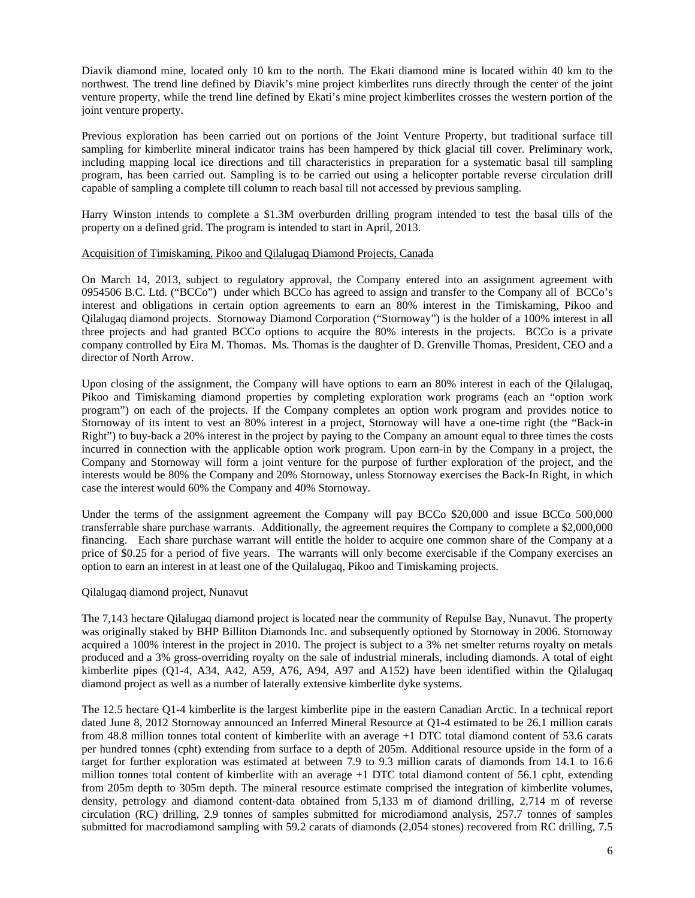Diavik diamond mine, located only 10 km to the north. The Ekati diamond mine is located within 40 km to the northwest. The trend line defined by Diavik's mine project kimberlites runs directly through the center of the joint venture property, while the trend line defined by Ekati's mine project kimberlites crosses the western portion of the joint venture property.

Previous exploration has been carried out on portions of the Joint Venture Property, but traditional surface till sampling for kimberlite mineral indicator trains has been hampered by thick glacial till cover. Preliminary work, including mapping local ice directions and till characteristics in preparation for a systematic basal till sampling program, has been carried out. Sampling is to be carried out using a helicopter portable reverse circulation drill capable of sampling a complete till column to reach basal till not accessed by previous sampling.

Harry Winston intends to complete a \$1.3M overburden drilling program intended to test the basal tills of the property on a defined grid. The program is intended to start in April, 2013.

#### Acquisition of Timiskaming, Pikoo and Qilalugaq Diamond Projects, Canada

On March 14, 2013, subject to regulatory approval, the Company entered into an assignment agreement with 0954506 B.C. Ltd. ("BCCo") under which BCCo has agreed to assign and transfer to the Company all of BCCo's interest and obligations in certain option agreements to earn an 80% interest in the Timiskaming, Pikoo and Qilalugaq diamond projects. Stornoway Diamond Corporation ("Stornoway") is the holder of a 100% interest in all three projects and had granted BCCo options to acquire the 80% interests in the projects. BCCo is a private company controlled by Eira M. Thomas. Ms. Thomas is the daughter of D. Grenville Thomas, President, CEO and a director of North Arrow.

Upon closing of the assignment, the Company will have options to earn an 80% interest in each of the Qilalugaq, Pikoo and Timiskaming diamond properties by completing exploration work programs (each an "option work program") on each of the projects. If the Company completes an option work program and provides notice to Stornoway of its intent to vest an 80% interest in a project, Stornoway will have a one-time right (the "Back-in Right") to buy-back a 20% interest in the project by paying to the Company an amount equal to three times the costs incurred in connection with the applicable option work program. Upon earn-in by the Company in a project, the Company and Stornoway will form a joint venture for the purpose of further exploration of the project, and the interests would be 80% the Company and 20% Stornoway, unless Stornoway exercises the Back-In Right, in which case the interest would 60% the Company and 40% Stornoway.

Under the terms of the assignment agreement the Company will pay BCCo \$20,000 and issue BCCo 500,000 transferrable share purchase warrants. Additionally, the agreement requires the Company to complete a \$2,000,000 financing. Each share purchase warrant will entitle the holder to acquire one common share of the Company at a price of \$0.25 for a period of five years. The warrants will only become exercisable if the Company exercises an option to earn an interest in at least one of the Quilalugaq, Pikoo and Timiskaming projects.

#### Qilalugaq diamond project, Nunavut

The 7,143 hectare Qilalugaq diamond project is located near the community of Repulse Bay, Nunavut. The property was originally staked by BHP Billiton Diamonds Inc. and subsequently optioned by Stornoway in 2006. Stornoway acquired a 100% interest in the project in 2010. The project is subject to a 3% net smelter returns royalty on metals produced and a 3% gross-overriding royalty on the sale of industrial minerals, including diamonds. A total of eight kimberlite pipes (Q1-4, A34, A42, A59, A76, A94, A97 and A152) have been identified within the Qilalugaq diamond project as well as a number of laterally extensive kimberlite dyke systems.

The 12.5 hectare Q1-4 kimberlite is the largest kimberlite pipe in the eastern Canadian Arctic. In a technical report dated June 8, 2012 Stornoway announced an Inferred Mineral Resource at Q1-4 estimated to be 26.1 million carats from 48.8 million tonnes total content of kimberlite with an average +1 DTC total diamond content of 53.6 carats per hundred tonnes (cpht) extending from surface to a depth of 205m. Additional resource upside in the form of a target for further exploration was estimated at between 7.9 to 9.3 million carats of diamonds from 14.1 to 16.6 million tonnes total content of kimberlite with an average  $+1$  DTC total diamond content of 56.1 cpht, extending from 205m depth to 305m depth. The mineral resource estimate comprised the integration of kimberlite volumes, density, petrology and diamond content-data obtained from 5,133 m of diamond drilling, 2,714 m of reverse circulation (RC) drilling, 2.9 tonnes of samples submitted for microdiamond analysis, 257.7 tonnes of samples submitted for macrodiamond sampling with 59.2 carats of diamonds (2,054 stones) recovered from RC drilling, 7.5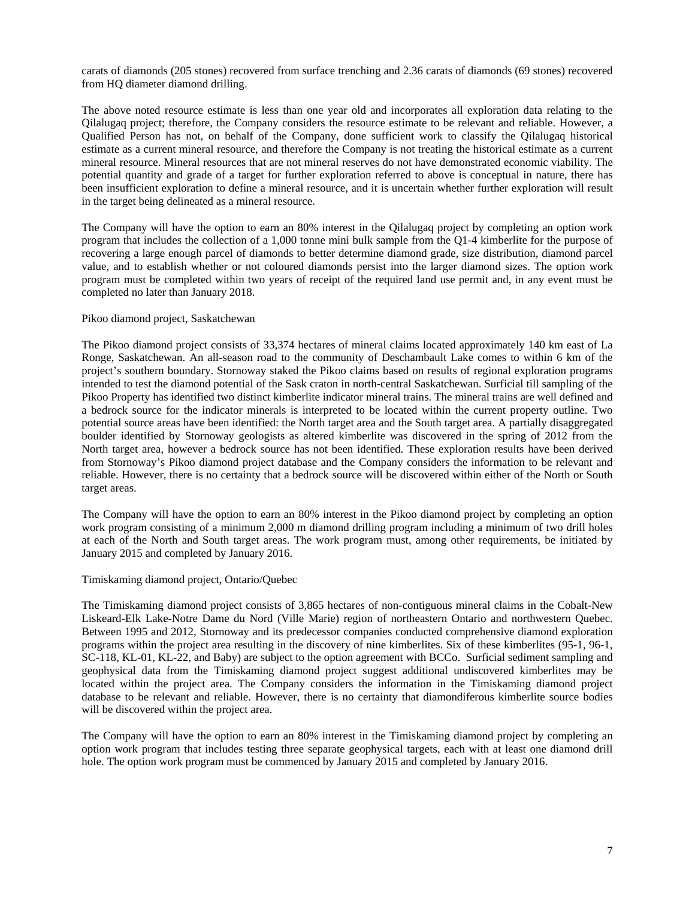carats of diamonds (205 stones) recovered from surface trenching and 2.36 carats of diamonds (69 stones) recovered from HQ diameter diamond drilling.

The above noted resource estimate is less than one year old and incorporates all exploration data relating to the Qilalugaq project; therefore, the Company considers the resource estimate to be relevant and reliable. However, a Qualified Person has not, on behalf of the Company, done sufficient work to classify the Qilalugaq historical estimate as a current mineral resource, and therefore the Company is not treating the historical estimate as a current mineral resource. Mineral resources that are not mineral reserves do not have demonstrated economic viability. The potential quantity and grade of a target for further exploration referred to above is conceptual in nature, there has been insufficient exploration to define a mineral resource, and it is uncertain whether further exploration will result in the target being delineated as a mineral resource.

The Company will have the option to earn an 80% interest in the Qilalugaq project by completing an option work program that includes the collection of a 1,000 tonne mini bulk sample from the Q1-4 kimberlite for the purpose of recovering a large enough parcel of diamonds to better determine diamond grade, size distribution, diamond parcel value, and to establish whether or not coloured diamonds persist into the larger diamond sizes. The option work program must be completed within two years of receipt of the required land use permit and, in any event must be completed no later than January 2018.

# Pikoo diamond project, Saskatchewan

The Pikoo diamond project consists of 33,374 hectares of mineral claims located approximately 140 km east of La Ronge, Saskatchewan. An all-season road to the community of Deschambault Lake comes to within 6 km of the project's southern boundary. Stornoway staked the Pikoo claims based on results of regional exploration programs intended to test the diamond potential of the Sask craton in north-central Saskatchewan. Surficial till sampling of the Pikoo Property has identified two distinct kimberlite indicator mineral trains. The mineral trains are well defined and a bedrock source for the indicator minerals is interpreted to be located within the current property outline. Two potential source areas have been identified: the North target area and the South target area. A partially disaggregated boulder identified by Stornoway geologists as altered kimberlite was discovered in the spring of 2012 from the North target area, however a bedrock source has not been identified. These exploration results have been derived from Stornoway's Pikoo diamond project database and the Company considers the information to be relevant and reliable. However, there is no certainty that a bedrock source will be discovered within either of the North or South target areas.

The Company will have the option to earn an 80% interest in the Pikoo diamond project by completing an option work program consisting of a minimum 2,000 m diamond drilling program including a minimum of two drill holes at each of the North and South target areas. The work program must, among other requirements, be initiated by January 2015 and completed by January 2016.

# Timiskaming diamond project, Ontario/Quebec

The Timiskaming diamond project consists of 3,865 hectares of non-contiguous mineral claims in the Cobalt-New Liskeard-Elk Lake-Notre Dame du Nord (Ville Marie) region of northeastern Ontario and northwestern Quebec. Between 1995 and 2012, Stornoway and its predecessor companies conducted comprehensive diamond exploration programs within the project area resulting in the discovery of nine kimberlites. Six of these kimberlites (95-1, 96-1, SC-118, KL-01, KL-22, and Baby) are subject to the option agreement with BCCo. Surficial sediment sampling and geophysical data from the Timiskaming diamond project suggest additional undiscovered kimberlites may be located within the project area. The Company considers the information in the Timiskaming diamond project database to be relevant and reliable. However, there is no certainty that diamondiferous kimberlite source bodies will be discovered within the project area.

The Company will have the option to earn an 80% interest in the Timiskaming diamond project by completing an option work program that includes testing three separate geophysical targets, each with at least one diamond drill hole. The option work program must be commenced by January 2015 and completed by January 2016.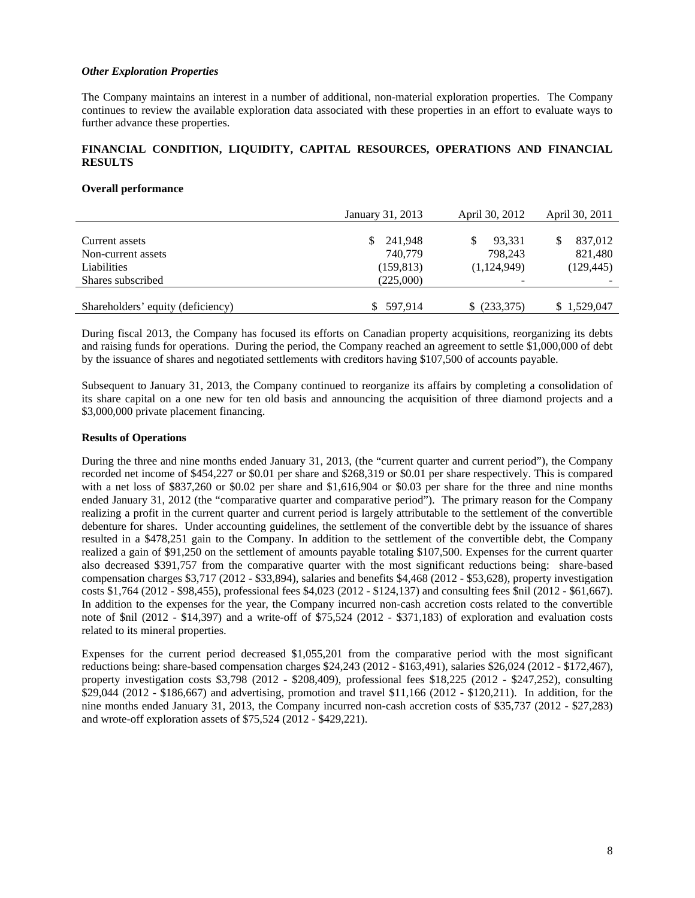## *Other Exploration Properties*

The Company maintains an interest in a number of additional, non-material exploration properties. The Company continues to review the available exploration data associated with these properties in an effort to evaluate ways to further advance these properties.

# **FINANCIAL CONDITION, LIQUIDITY, CAPITAL RESOURCES, OPERATIONS AND FINANCIAL RESULTS**

#### **Overall performance**

|                                      | January 31, 2013   | April 30, 2012    | April 30, 2011     |
|--------------------------------------|--------------------|-------------------|--------------------|
| Current assets<br>Non-current assets | 241.948<br>740,779 | 93.331<br>798.243 | 837,012<br>821,480 |
| Liabilities                          | (159, 813)         | (1,124,949)       | (129, 445)         |
| Shares subscribed                    | (225,000)          |                   |                    |
| Shareholders' equity (deficiency)    | 597,914            | \$ (233,375)      | \$1,529,047        |

During fiscal 2013, the Company has focused its efforts on Canadian property acquisitions, reorganizing its debts and raising funds for operations. During the period, the Company reached an agreement to settle \$1,000,000 of debt by the issuance of shares and negotiated settlements with creditors having \$107,500 of accounts payable.

Subsequent to January 31, 2013, the Company continued to reorganize its affairs by completing a consolidation of its share capital on a one new for ten old basis and announcing the acquisition of three diamond projects and a \$3,000,000 private placement financing.

#### **Results of Operations**

During the three and nine months ended January 31, 2013, (the "current quarter and current period"), the Company recorded net income of \$454,227 or \$0.01 per share and \$268,319 or \$0.01 per share respectively. This is compared with a net loss of \$837,260 or \$0.02 per share and \$1,616,904 or \$0.03 per share for the three and nine months ended January 31, 2012 (the "comparative quarter and comparative period"). The primary reason for the Company realizing a profit in the current quarter and current period is largely attributable to the settlement of the convertible debenture for shares. Under accounting guidelines, the settlement of the convertible debt by the issuance of shares resulted in a \$478,251 gain to the Company. In addition to the settlement of the convertible debt, the Company realized a gain of \$91,250 on the settlement of amounts payable totaling \$107,500. Expenses for the current quarter also decreased \$391,757 from the comparative quarter with the most significant reductions being: share-based compensation charges \$3,717 (2012 - \$33,894), salaries and benefits \$4,468 (2012 - \$53,628), property investigation costs \$1,764 (2012 - \$98,455), professional fees \$4,023 (2012 - \$124,137) and consulting fees \$nil (2012 - \$61,667). In addition to the expenses for the year, the Company incurred non-cash accretion costs related to the convertible note of \$nil (2012 - \$14,397) and a write-off of \$75,524 (2012 - \$371,183) of exploration and evaluation costs related to its mineral properties.

Expenses for the current period decreased \$1,055,201 from the comparative period with the most significant reductions being: share-based compensation charges \$24,243 (2012 - \$163,491), salaries \$26,024 (2012 - \$172,467), property investigation costs \$3,798 (2012 - \$208,409), professional fees \$18,225 (2012 - \$247,252), consulting \$29,044 (2012 - \$186,667) and advertising, promotion and travel \$11,166 (2012 - \$120,211). In addition, for the nine months ended January 31, 2013, the Company incurred non-cash accretion costs of \$35,737 (2012 - \$27,283) and wrote-off exploration assets of \$75,524 (2012 - \$429,221).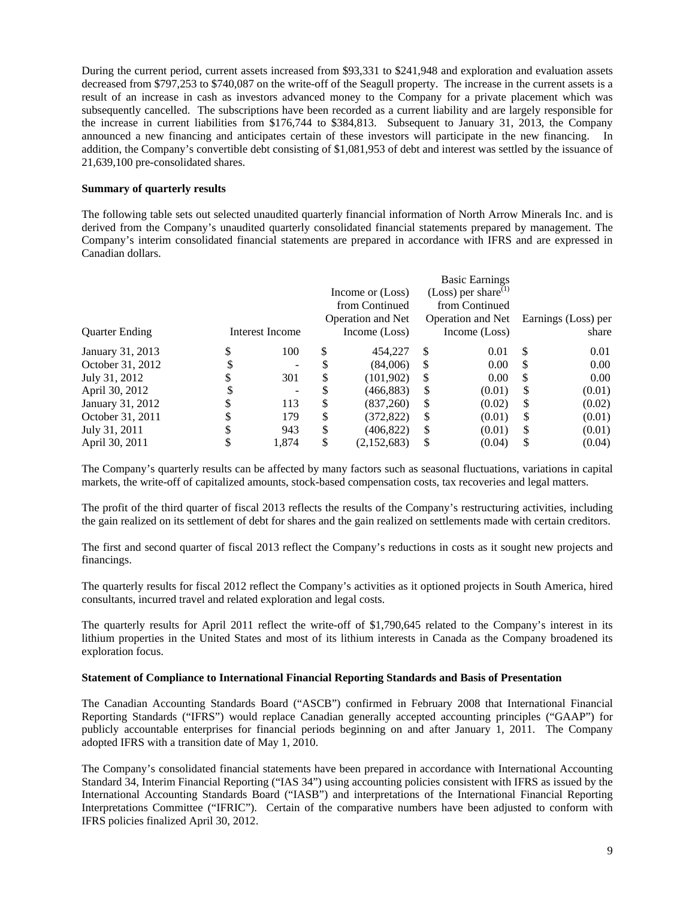During the current period, current assets increased from \$93,331 to \$241,948 and exploration and evaluation assets decreased from \$797,253 to \$740,087 on the write-off of the Seagull property. The increase in the current assets is a result of an increase in cash as investors advanced money to the Company for a private placement which was subsequently cancelled. The subscriptions have been recorded as a current liability and are largely responsible for the increase in current liabilities from \$176,744 to \$384,813. Subsequent to January 31, 2013, the Company announced a new financing and anticipates certain of these investors will participate in the new financing. In addition, the Company's convertible debt consisting of \$1,081,953 of debt and interest was settled by the issuance of 21,639,100 pre-consolidated shares.

## **Summary of quarterly results**

The following table sets out selected unaudited quarterly financial information of North Arrow Minerals Inc. and is derived from the Company's unaudited quarterly consolidated financial statements prepared by management. The Company's interim consolidated financial statements are prepared in accordance with IFRS and are expressed in Canadian dollars.

|                       |                 |    |                          |    | <b>Basic Earnings</b>           |     |                     |
|-----------------------|-----------------|----|--------------------------|----|---------------------------------|-----|---------------------|
|                       |                 |    | Income or (Loss)         |    | (Loss) per share <sup>(1)</sup> |     |                     |
|                       |                 |    | from Continued           |    | from Continued                  |     |                     |
|                       |                 |    | <b>Operation and Net</b> |    | <b>Operation and Net</b>        |     | Earnings (Loss) per |
| <b>Quarter Ending</b> | Interest Income |    | Income (Loss)            |    | Income (Loss)                   |     | share               |
| January 31, 2013      | \$<br>100       | \$ | 454,227                  | \$ | 0.01                            | S   | 0.01                |
| October 31, 2012      | -               | S  | (84,006)                 | S  | 0.00                            | \$. | 0.00                |
| July 31, 2012         | 301             | \$ | (101, 902)               | \$ | 0.00                            | S   | 0.00                |
| April 30, 2012        | -               | \$ | (466, 883)               | S  | (0.01)                          | S   | (0.01)              |
| January 31, 2012      | 113             | \$ | (837,260)                | S  | (0.02)                          | \$  | (0.02)              |
| October 31, 2011      | 179             | \$ | (372, 822)               | S  | (0.01)                          | S   | (0.01)              |
| July 31, 2011         | 943             | \$ | (406,822)                | \$ | (0.01)                          | S   | (0.01)              |
| April 30, 2011        | \$<br>1,874     | \$ | (2,152,683)              | \$ | (0.04)                          | \$  | (0.04)              |

The Company's quarterly results can be affected by many factors such as seasonal fluctuations, variations in capital markets, the write-off of capitalized amounts, stock-based compensation costs, tax recoveries and legal matters.

The profit of the third quarter of fiscal 2013 reflects the results of the Company's restructuring activities, including the gain realized on its settlement of debt for shares and the gain realized on settlements made with certain creditors.

The first and second quarter of fiscal 2013 reflect the Company's reductions in costs as it sought new projects and financings.

The quarterly results for fiscal 2012 reflect the Company's activities as it optioned projects in South America, hired consultants, incurred travel and related exploration and legal costs.

The quarterly results for April 2011 reflect the write-off of \$1,790,645 related to the Company's interest in its lithium properties in the United States and most of its lithium interests in Canada as the Company broadened its exploration focus.

#### **Statement of Compliance to International Financial Reporting Standards and Basis of Presentation**

The Canadian Accounting Standards Board ("ASCB") confirmed in February 2008 that International Financial Reporting Standards ("IFRS") would replace Canadian generally accepted accounting principles ("GAAP") for publicly accountable enterprises for financial periods beginning on and after January 1, 2011. The Company adopted IFRS with a transition date of May 1, 2010.

The Company's consolidated financial statements have been prepared in accordance with International Accounting Standard 34, Interim Financial Reporting ("IAS 34") using accounting policies consistent with IFRS as issued by the International Accounting Standards Board ("IASB") and interpretations of the International Financial Reporting Interpretations Committee ("IFRIC"). Certain of the comparative numbers have been adjusted to conform with IFRS policies finalized April 30, 2012.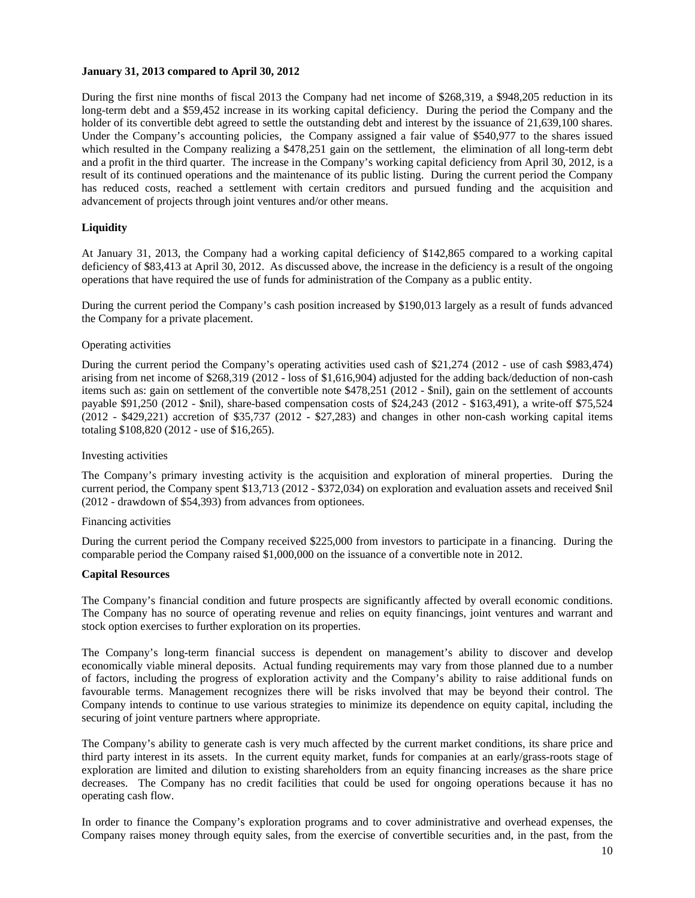## **January 31, 2013 compared to April 30, 2012**

During the first nine months of fiscal 2013 the Company had net income of \$268,319, a \$948,205 reduction in its long-term debt and a \$59,452 increase in its working capital deficiency. During the period the Company and the holder of its convertible debt agreed to settle the outstanding debt and interest by the issuance of 21,639,100 shares. Under the Company's accounting policies, the Company assigned a fair value of \$540,977 to the shares issued which resulted in the Company realizing a \$478,251 gain on the settlement, the elimination of all long-term debt and a profit in the third quarter. The increase in the Company's working capital deficiency from April 30, 2012, is a result of its continued operations and the maintenance of its public listing. During the current period the Company has reduced costs, reached a settlement with certain creditors and pursued funding and the acquisition and advancement of projects through joint ventures and/or other means.

# **Liquidity**

At January 31, 2013, the Company had a working capital deficiency of \$142,865 compared to a working capital deficiency of \$83,413 at April 30, 2012. As discussed above, the increase in the deficiency is a result of the ongoing operations that have required the use of funds for administration of the Company as a public entity.

During the current period the Company's cash position increased by \$190,013 largely as a result of funds advanced the Company for a private placement.

# Operating activities

During the current period the Company's operating activities used cash of \$21,274 (2012 - use of cash \$983,474) arising from net income of \$268,319 (2012 - loss of \$1,616,904) adjusted for the adding back/deduction of non-cash items such as: gain on settlement of the convertible note \$478,251 (2012 - \$nil), gain on the settlement of accounts payable \$91,250 (2012 - \$nil), share-based compensation costs of \$24,243 (2012 - \$163,491), a write-off \$75,524 (2012 - \$429,221) accretion of \$35,737 (2012 - \$27,283) and changes in other non-cash working capital items totaling \$108,820 (2012 - use of \$16,265).

## Investing activities

The Company's primary investing activity is the acquisition and exploration of mineral properties. During the current period, the Company spent \$13,713 (2012 - \$372,034) on exploration and evaluation assets and received \$nil (2012 - drawdown of \$54,393) from advances from optionees.

#### Financing activities

During the current period the Company received \$225,000 from investors to participate in a financing. During the comparable period the Company raised \$1,000,000 on the issuance of a convertible note in 2012.

#### **Capital Resources**

The Company's financial condition and future prospects are significantly affected by overall economic conditions. The Company has no source of operating revenue and relies on equity financings, joint ventures and warrant and stock option exercises to further exploration on its properties.

The Company's long-term financial success is dependent on management's ability to discover and develop economically viable mineral deposits. Actual funding requirements may vary from those planned due to a number of factors, including the progress of exploration activity and the Company's ability to raise additional funds on favourable terms. Management recognizes there will be risks involved that may be beyond their control. The Company intends to continue to use various strategies to minimize its dependence on equity capital, including the securing of joint venture partners where appropriate.

The Company's ability to generate cash is very much affected by the current market conditions, its share price and third party interest in its assets. In the current equity market, funds for companies at an early/grass-roots stage of exploration are limited and dilution to existing shareholders from an equity financing increases as the share price decreases. The Company has no credit facilities that could be used for ongoing operations because it has no operating cash flow.

In order to finance the Company's exploration programs and to cover administrative and overhead expenses, the Company raises money through equity sales, from the exercise of convertible securities and, in the past, from the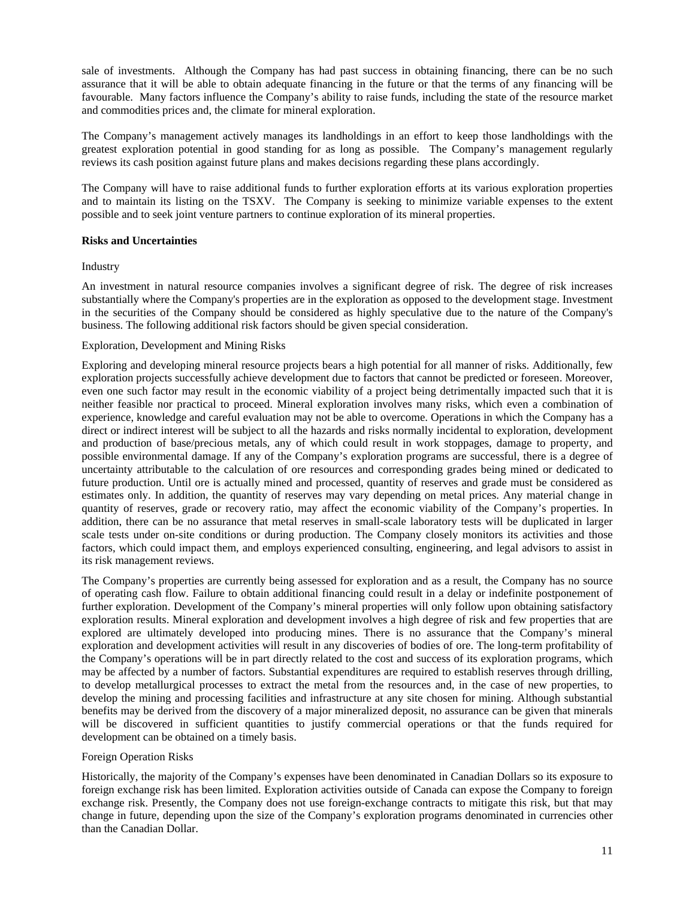sale of investments. Although the Company has had past success in obtaining financing, there can be no such assurance that it will be able to obtain adequate financing in the future or that the terms of any financing will be favourable. Many factors influence the Company's ability to raise funds, including the state of the resource market and commodities prices and, the climate for mineral exploration.

The Company's management actively manages its landholdings in an effort to keep those landholdings with the greatest exploration potential in good standing for as long as possible. The Company's management regularly reviews its cash position against future plans and makes decisions regarding these plans accordingly.

The Company will have to raise additional funds to further exploration efforts at its various exploration properties and to maintain its listing on the TSXV. The Company is seeking to minimize variable expenses to the extent possible and to seek joint venture partners to continue exploration of its mineral properties.

# **Risks and Uncertainties**

#### Industry

An investment in natural resource companies involves a significant degree of risk. The degree of risk increases substantially where the Company's properties are in the exploration as opposed to the development stage. Investment in the securities of the Company should be considered as highly speculative due to the nature of the Company's business. The following additional risk factors should be given special consideration.

# Exploration, Development and Mining Risks

Exploring and developing mineral resource projects bears a high potential for all manner of risks. Additionally, few exploration projects successfully achieve development due to factors that cannot be predicted or foreseen. Moreover, even one such factor may result in the economic viability of a project being detrimentally impacted such that it is neither feasible nor practical to proceed. Mineral exploration involves many risks, which even a combination of experience, knowledge and careful evaluation may not be able to overcome. Operations in which the Company has a direct or indirect interest will be subject to all the hazards and risks normally incidental to exploration, development and production of base/precious metals, any of which could result in work stoppages, damage to property, and possible environmental damage. If any of the Company's exploration programs are successful, there is a degree of uncertainty attributable to the calculation of ore resources and corresponding grades being mined or dedicated to future production. Until ore is actually mined and processed, quantity of reserves and grade must be considered as estimates only. In addition, the quantity of reserves may vary depending on metal prices. Any material change in quantity of reserves, grade or recovery ratio, may affect the economic viability of the Company's properties. In addition, there can be no assurance that metal reserves in small-scale laboratory tests will be duplicated in larger scale tests under on-site conditions or during production. The Company closely monitors its activities and those factors, which could impact them, and employs experienced consulting, engineering, and legal advisors to assist in its risk management reviews.

The Company's properties are currently being assessed for exploration and as a result, the Company has no source of operating cash flow. Failure to obtain additional financing could result in a delay or indefinite postponement of further exploration. Development of the Company's mineral properties will only follow upon obtaining satisfactory exploration results. Mineral exploration and development involves a high degree of risk and few properties that are explored are ultimately developed into producing mines. There is no assurance that the Company's mineral exploration and development activities will result in any discoveries of bodies of ore. The long-term profitability of the Company's operations will be in part directly related to the cost and success of its exploration programs, which may be affected by a number of factors. Substantial expenditures are required to establish reserves through drilling, to develop metallurgical processes to extract the metal from the resources and, in the case of new properties, to develop the mining and processing facilities and infrastructure at any site chosen for mining. Although substantial benefits may be derived from the discovery of a major mineralized deposit, no assurance can be given that minerals will be discovered in sufficient quantities to justify commercial operations or that the funds required for development can be obtained on a timely basis.

#### Foreign Operation Risks

Historically, the majority of the Company's expenses have been denominated in Canadian Dollars so its exposure to foreign exchange risk has been limited. Exploration activities outside of Canada can expose the Company to foreign exchange risk. Presently, the Company does not use foreign-exchange contracts to mitigate this risk, but that may change in future, depending upon the size of the Company's exploration programs denominated in currencies other than the Canadian Dollar.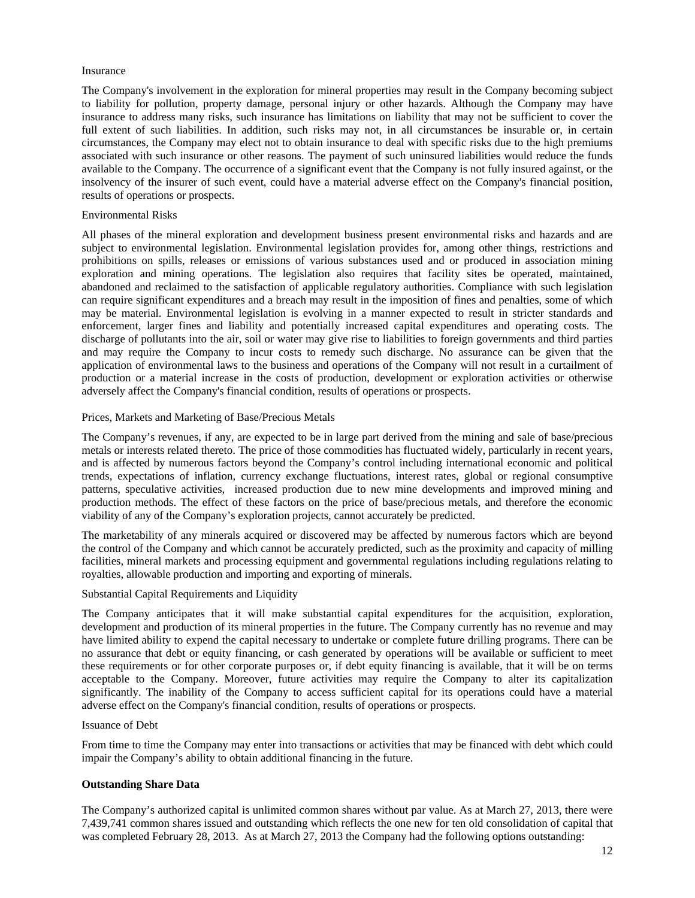#### Insurance

The Company's involvement in the exploration for mineral properties may result in the Company becoming subject to liability for pollution, property damage, personal injury or other hazards. Although the Company may have insurance to address many risks, such insurance has limitations on liability that may not be sufficient to cover the full extent of such liabilities. In addition, such risks may not, in all circumstances be insurable or, in certain circumstances, the Company may elect not to obtain insurance to deal with specific risks due to the high premiums associated with such insurance or other reasons. The payment of such uninsured liabilities would reduce the funds available to the Company. The occurrence of a significant event that the Company is not fully insured against, or the insolvency of the insurer of such event, could have a material adverse effect on the Company's financial position, results of operations or prospects.

#### Environmental Risks

All phases of the mineral exploration and development business present environmental risks and hazards and are subject to environmental legislation. Environmental legislation provides for, among other things, restrictions and prohibitions on spills, releases or emissions of various substances used and or produced in association mining exploration and mining operations. The legislation also requires that facility sites be operated, maintained, abandoned and reclaimed to the satisfaction of applicable regulatory authorities. Compliance with such legislation can require significant expenditures and a breach may result in the imposition of fines and penalties, some of which may be material. Environmental legislation is evolving in a manner expected to result in stricter standards and enforcement, larger fines and liability and potentially increased capital expenditures and operating costs. The discharge of pollutants into the air, soil or water may give rise to liabilities to foreign governments and third parties and may require the Company to incur costs to remedy such discharge. No assurance can be given that the application of environmental laws to the business and operations of the Company will not result in a curtailment of production or a material increase in the costs of production, development or exploration activities or otherwise adversely affect the Company's financial condition, results of operations or prospects.

#### Prices, Markets and Marketing of Base/Precious Metals

The Company's revenues, if any, are expected to be in large part derived from the mining and sale of base/precious metals or interests related thereto. The price of those commodities has fluctuated widely, particularly in recent years, and is affected by numerous factors beyond the Company's control including international economic and political trends, expectations of inflation, currency exchange fluctuations, interest rates, global or regional consumptive patterns, speculative activities, increased production due to new mine developments and improved mining and production methods. The effect of these factors on the price of base/precious metals, and therefore the economic viability of any of the Company's exploration projects, cannot accurately be predicted.

The marketability of any minerals acquired or discovered may be affected by numerous factors which are beyond the control of the Company and which cannot be accurately predicted, such as the proximity and capacity of milling facilities, mineral markets and processing equipment and governmental regulations including regulations relating to royalties, allowable production and importing and exporting of minerals.

# Substantial Capital Requirements and Liquidity

The Company anticipates that it will make substantial capital expenditures for the acquisition, exploration, development and production of its mineral properties in the future. The Company currently has no revenue and may have limited ability to expend the capital necessary to undertake or complete future drilling programs. There can be no assurance that debt or equity financing, or cash generated by operations will be available or sufficient to meet these requirements or for other corporate purposes or, if debt equity financing is available, that it will be on terms acceptable to the Company. Moreover, future activities may require the Company to alter its capitalization significantly. The inability of the Company to access sufficient capital for its operations could have a material adverse effect on the Company's financial condition, results of operations or prospects.

#### Issuance of Debt

From time to time the Company may enter into transactions or activities that may be financed with debt which could impair the Company's ability to obtain additional financing in the future.

## **Outstanding Share Data**

The Company's authorized capital is unlimited common shares without par value. As at March 27, 2013, there were 7,439,741 common shares issued and outstanding which reflects the one new for ten old consolidation of capital that was completed February 28, 2013. As at March 27, 2013 the Company had the following options outstanding: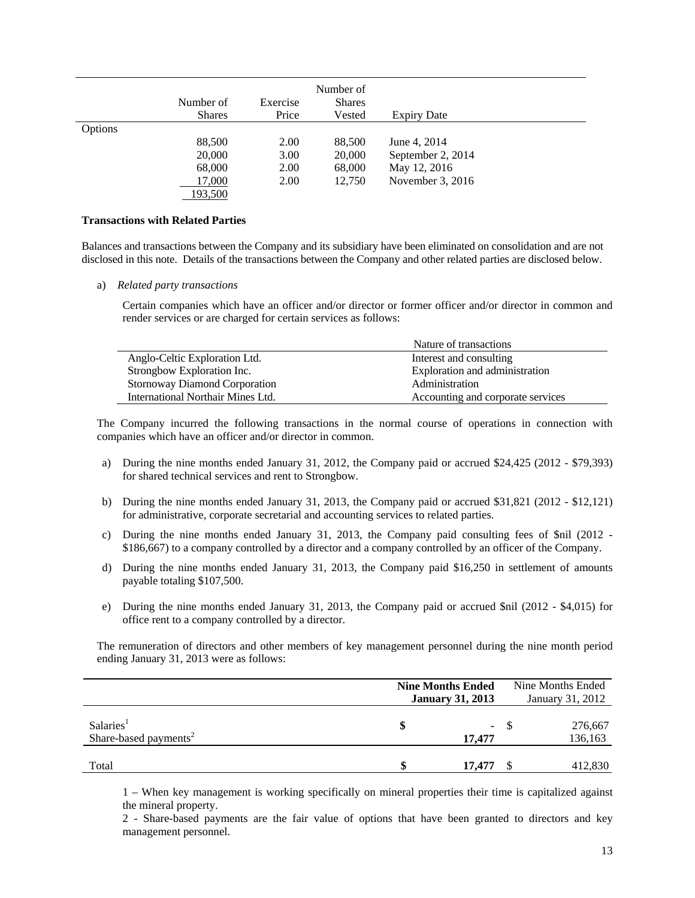|         | Number of<br><b>Shares</b> | Exercise<br>Price | Number of<br><b>Shares</b><br>Vested | <b>Expiry Date</b> |  |
|---------|----------------------------|-------------------|--------------------------------------|--------------------|--|
| Options |                            |                   |                                      |                    |  |
|         | 88,500                     | 2.00              | 88,500                               | June 4, 2014       |  |
|         | 20,000                     | 3.00              | 20,000                               | September 2, 2014  |  |
|         | 68,000                     | 2.00              | 68,000                               | May 12, 2016       |  |
|         | 17,000                     | 2.00              | 12.750                               | November 3, 2016   |  |
|         | 193,500                    |                   |                                      |                    |  |

# **Transactions with Related Parties**

Balances and transactions between the Company and its subsidiary have been eliminated on consolidation and are not disclosed in this note. Details of the transactions between the Company and other related parties are disclosed below.

# a) *Related party transactions*

Certain companies which have an officer and/or director or former officer and/or director in common and render services or are charged for certain services as follows:

|                                      | Nature of transactions            |
|--------------------------------------|-----------------------------------|
| Anglo-Celtic Exploration Ltd.        | Interest and consulting           |
| Strongbow Exploration Inc.           | Exploration and administration    |
| <b>Stornoway Diamond Corporation</b> | Administration                    |
| International Northair Mines Ltd.    | Accounting and corporate services |

The Company incurred the following transactions in the normal course of operations in connection with companies which have an officer and/or director in common.

- a) During the nine months ended January 31, 2012, the Company paid or accrued \$24,425 (2012 \$79,393) for shared technical services and rent to Strongbow.
- b) During the nine months ended January 31, 2013, the Company paid or accrued \$31,821 (2012 \$12,121) for administrative, corporate secretarial and accounting services to related parties.
- c) During the nine months ended January 31, 2013, the Company paid consulting fees of \$nil (2012 \$186,667) to a company controlled by a director and a company controlled by an officer of the Company.
- d) During the nine months ended January 31, 2013, the Company paid \$16,250 in settlement of amounts payable totaling \$107,500.
- e) During the nine months ended January 31, 2013, the Company paid or accrued \$nil (2012 \$4,015) for office rent to a company controlled by a director.

 The remuneration of directors and other members of key management personnel during the nine month period ending January 31, 2013 were as follows:

|                                                            | <b>Nine Months Ended</b><br><b>January 31, 2013</b> |    | Nine Months Ended<br>January 31, 2012 |  |
|------------------------------------------------------------|-----------------------------------------------------|----|---------------------------------------|--|
| Salaries <sup>1</sup><br>Share-based payments <sup>2</sup> | $\sim$<br>17.477                                    | -S | 276,667<br>136,163                    |  |
| Total                                                      | \$<br>17.477                                        |    | 412,830                               |  |

1 – When key management is working specifically on mineral properties their time is capitalized against the mineral property.

2 - Share-based payments are the fair value of options that have been granted to directors and key management personnel.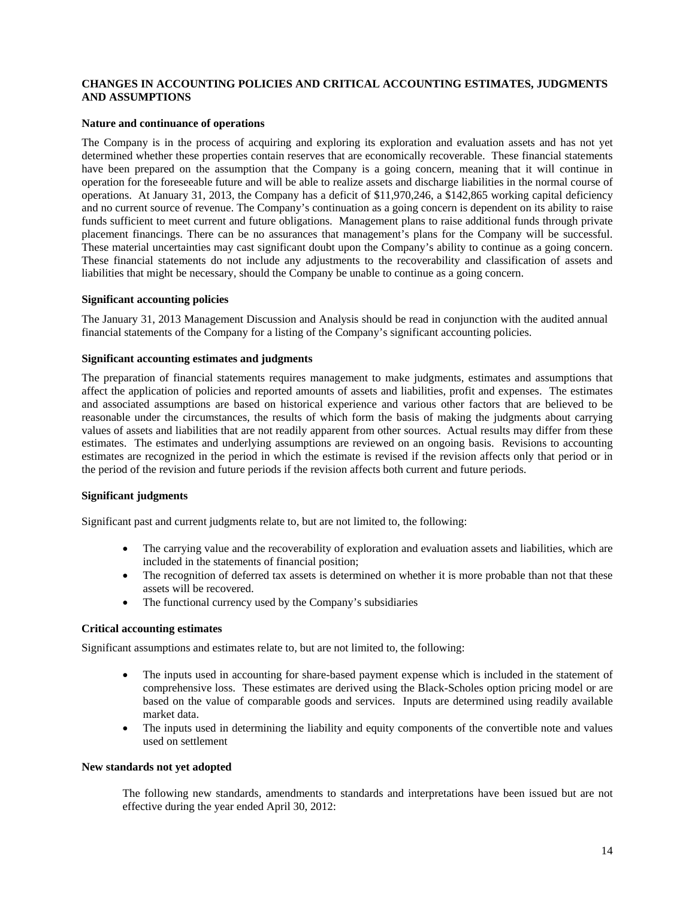# **CHANGES IN ACCOUNTING POLICIES AND CRITICAL ACCOUNTING ESTIMATES, JUDGMENTS AND ASSUMPTIONS**

#### **Nature and continuance of operations**

The Company is in the process of acquiring and exploring its exploration and evaluation assets and has not yet determined whether these properties contain reserves that are economically recoverable. These financial statements have been prepared on the assumption that the Company is a going concern, meaning that it will continue in operation for the foreseeable future and will be able to realize assets and discharge liabilities in the normal course of operations. At January 31, 2013, the Company has a deficit of \$11,970,246, a \$142,865 working capital deficiency and no current source of revenue. The Company's continuation as a going concern is dependent on its ability to raise funds sufficient to meet current and future obligations. Management plans to raise additional funds through private placement financings. There can be no assurances that management's plans for the Company will be successful. These material uncertainties may cast significant doubt upon the Company's ability to continue as a going concern. These financial statements do not include any adjustments to the recoverability and classification of assets and liabilities that might be necessary, should the Company be unable to continue as a going concern.

# **Significant accounting policies**

The January 31, 2013 Management Discussion and Analysis should be read in conjunction with the audited annual financial statements of the Company for a listing of the Company's significant accounting policies.

#### **Significant accounting estimates and judgments**

The preparation of financial statements requires management to make judgments, estimates and assumptions that affect the application of policies and reported amounts of assets and liabilities, profit and expenses. The estimates and associated assumptions are based on historical experience and various other factors that are believed to be reasonable under the circumstances, the results of which form the basis of making the judgments about carrying values of assets and liabilities that are not readily apparent from other sources. Actual results may differ from these estimates. The estimates and underlying assumptions are reviewed on an ongoing basis. Revisions to accounting estimates are recognized in the period in which the estimate is revised if the revision affects only that period or in the period of the revision and future periods if the revision affects both current and future periods.

#### **Significant judgments**

Significant past and current judgments relate to, but are not limited to, the following:

- The carrying value and the recoverability of exploration and evaluation assets and liabilities, which are included in the statements of financial position;
- The recognition of deferred tax assets is determined on whether it is more probable than not that these assets will be recovered.
- The functional currency used by the Company's subsidiaries

## **Critical accounting estimates**

Significant assumptions and estimates relate to, but are not limited to, the following:

- The inputs used in accounting for share-based payment expense which is included in the statement of comprehensive loss. These estimates are derived using the Black-Scholes option pricing model or are based on the value of comparable goods and services. Inputs are determined using readily available market data.
- The inputs used in determining the liability and equity components of the convertible note and values used on settlement

## **New standards not yet adopted**

The following new standards, amendments to standards and interpretations have been issued but are not effective during the year ended April 30, 2012: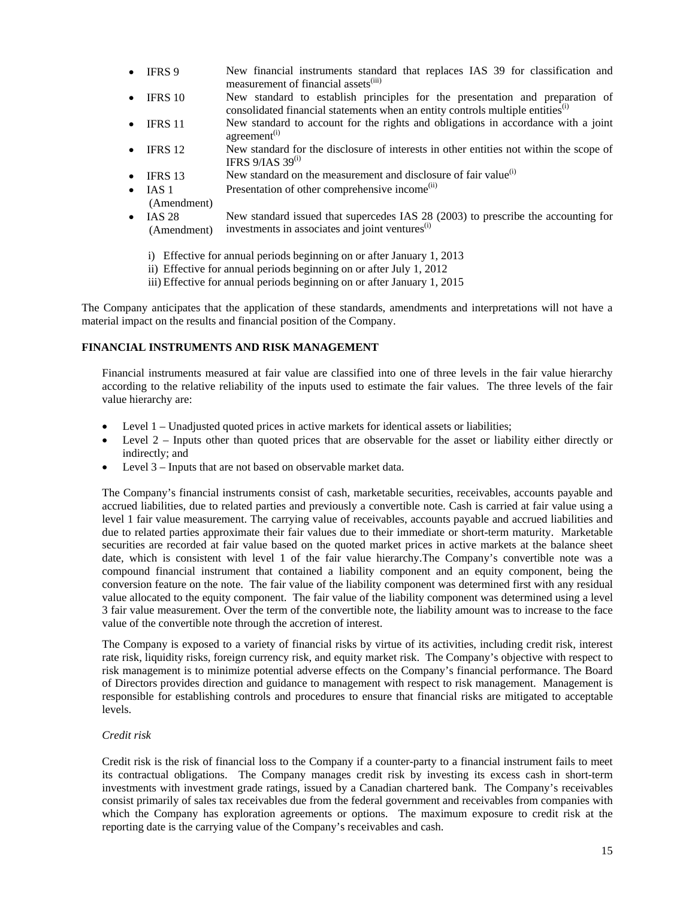- IFRS 9 New financial instruments standard that replaces IAS 39 for classification and measurement of financial assets<sup>(iii)</sup>
- IFRS 10 New standard to establish principles for the presentation and preparation of consolidated financial statements when an entity controls multiple entities $^{(i)}$
- IFRS 11 New standard to account for the rights and obligations in accordance with a joint agreement $(i)$
- IFRS 12 New standard for the disclosure of interests in other entities not within the scope of IFRS  $9/IAS$  39<sup>(i)</sup>
- IFRS 13 New standard on the measurement and disclosure of fair value $^{(i)}$
- IAS 1 Presentation of other comprehensive income<sup>(ii)</sup>
- (Amendment)
- IAS 28 (Amendment) New standard issued that supercedes IAS 28 (2003) to prescribe the accounting for investments in associates and joint ventures<sup>(i)</sup>
	- i) Effective for annual periods beginning on or after January 1, 2013
	- ii) Effective for annual periods beginning on or after July 1, 2012
	- iii) Effective for annual periods beginning on or after January 1, 2015

The Company anticipates that the application of these standards, amendments and interpretations will not have a material impact on the results and financial position of the Company.

# **FINANCIAL INSTRUMENTS AND RISK MANAGEMENT**

Financial instruments measured at fair value are classified into one of three levels in the fair value hierarchy according to the relative reliability of the inputs used to estimate the fair values. The three levels of the fair value hierarchy are:

- Level 1 Unadjusted quoted prices in active markets for identical assets or liabilities;
- Level 2 Inputs other than quoted prices that are observable for the asset or liability either directly or indirectly; and
- Level 3 Inputs that are not based on observable market data.

The Company's financial instruments consist of cash, marketable securities, receivables, accounts payable and accrued liabilities, due to related parties and previously a convertible note. Cash is carried at fair value using a level 1 fair value measurement. The carrying value of receivables, accounts payable and accrued liabilities and due to related parties approximate their fair values due to their immediate or short-term maturity. Marketable securities are recorded at fair value based on the quoted market prices in active markets at the balance sheet date, which is consistent with level 1 of the fair value hierarchy.The Company's convertible note was a compound financial instrument that contained a liability component and an equity component, being the conversion feature on the note. The fair value of the liability component was determined first with any residual value allocated to the equity component. The fair value of the liability component was determined using a level 3 fair value measurement. Over the term of the convertible note, the liability amount was to increase to the face value of the convertible note through the accretion of interest.

The Company is exposed to a variety of financial risks by virtue of its activities, including credit risk, interest rate risk, liquidity risks, foreign currency risk, and equity market risk. The Company's objective with respect to risk management is to minimize potential adverse effects on the Company's financial performance. The Board of Directors provides direction and guidance to management with respect to risk management. Management is responsible for establishing controls and procedures to ensure that financial risks are mitigated to acceptable levels.

#### *Credit risk*

Credit risk is the risk of financial loss to the Company if a counter-party to a financial instrument fails to meet its contractual obligations. The Company manages credit risk by investing its excess cash in short-term investments with investment grade ratings, issued by a Canadian chartered bank. The Company's receivables consist primarily of sales tax receivables due from the federal government and receivables from companies with which the Company has exploration agreements or options. The maximum exposure to credit risk at the reporting date is the carrying value of the Company's receivables and cash.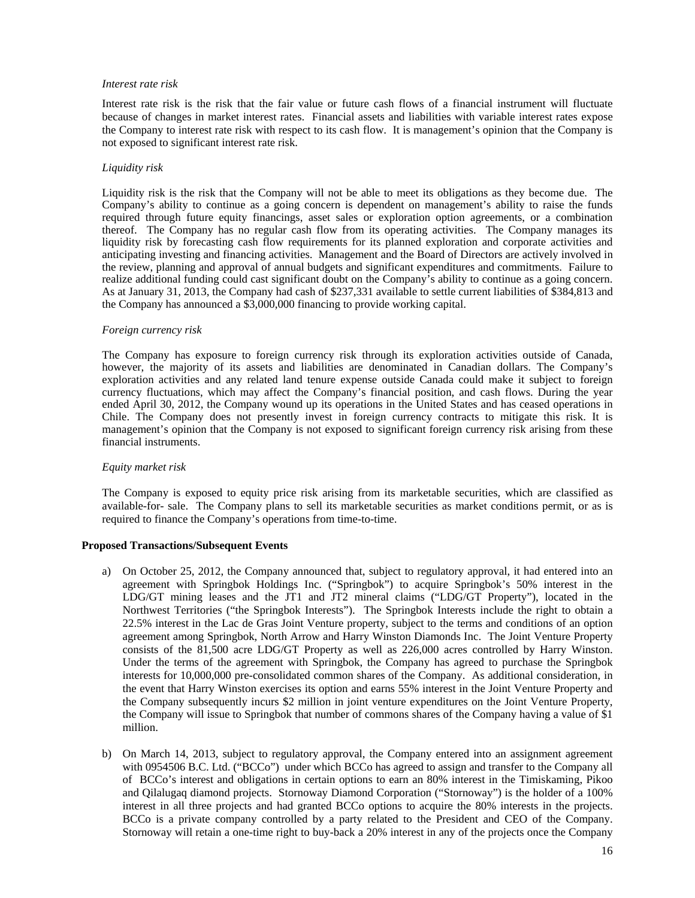#### *Interest rate risk*

Interest rate risk is the risk that the fair value or future cash flows of a financial instrument will fluctuate because of changes in market interest rates. Financial assets and liabilities with variable interest rates expose the Company to interest rate risk with respect to its cash flow. It is management's opinion that the Company is not exposed to significant interest rate risk.

## *Liquidity risk*

Liquidity risk is the risk that the Company will not be able to meet its obligations as they become due. The Company's ability to continue as a going concern is dependent on management's ability to raise the funds required through future equity financings, asset sales or exploration option agreements, or a combination thereof. The Company has no regular cash flow from its operating activities. The Company manages its liquidity risk by forecasting cash flow requirements for its planned exploration and corporate activities and anticipating investing and financing activities. Management and the Board of Directors are actively involved in the review, planning and approval of annual budgets and significant expenditures and commitments. Failure to realize additional funding could cast significant doubt on the Company's ability to continue as a going concern. As at January 31, 2013, the Company had cash of \$237,331 available to settle current liabilities of \$384,813 and the Company has announced a \$3,000,000 financing to provide working capital.

#### *Foreign currency risk*

 The Company has exposure to foreign currency risk through its exploration activities outside of Canada, however, the majority of its assets and liabilities are denominated in Canadian dollars. The Company's exploration activities and any related land tenure expense outside Canada could make it subject to foreign currency fluctuations, which may affect the Company's financial position, and cash flows. During the year ended April 30, 2012, the Company wound up its operations in the United States and has ceased operations in Chile. The Company does not presently invest in foreign currency contracts to mitigate this risk. It is management's opinion that the Company is not exposed to significant foreign currency risk arising from these financial instruments.

#### *Equity market risk*

The Company is exposed to equity price risk arising from its marketable securities, which are classified as available-for- sale. The Company plans to sell its marketable securities as market conditions permit, or as is required to finance the Company's operations from time-to-time.

#### **Proposed Transactions/Subsequent Events**

- a) On October 25, 2012, the Company announced that, subject to regulatory approval, it had entered into an agreement with Springbok Holdings Inc. ("Springbok") to acquire Springbok's 50% interest in the LDG/GT mining leases and the JT1 and JT2 mineral claims ("LDG/GT Property"), located in the Northwest Territories ("the Springbok Interests"). The Springbok Interests include the right to obtain a 22.5% interest in the Lac de Gras Joint Venture property, subject to the terms and conditions of an option agreement among Springbok, North Arrow and Harry Winston Diamonds Inc. The Joint Venture Property consists of the 81,500 acre LDG/GT Property as well as 226,000 acres controlled by Harry Winston. Under the terms of the agreement with Springbok, the Company has agreed to purchase the Springbok interests for 10,000,000 pre-consolidated common shares of the Company. As additional consideration, in the event that Harry Winston exercises its option and earns 55% interest in the Joint Venture Property and the Company subsequently incurs \$2 million in joint venture expenditures on the Joint Venture Property, the Company will issue to Springbok that number of commons shares of the Company having a value of \$1 million.
- b) On March 14, 2013, subject to regulatory approval, the Company entered into an assignment agreement with 0954506 B.C. Ltd. ("BCCo") under which BCCo has agreed to assign and transfer to the Company all of BCCo's interest and obligations in certain options to earn an 80% interest in the Timiskaming, Pikoo and Qilalugaq diamond projects. Stornoway Diamond Corporation ("Stornoway") is the holder of a 100% interest in all three projects and had granted BCCo options to acquire the 80% interests in the projects. BCCo is a private company controlled by a party related to the President and CEO of the Company. Stornoway will retain a one-time right to buy-back a 20% interest in any of the projects once the Company